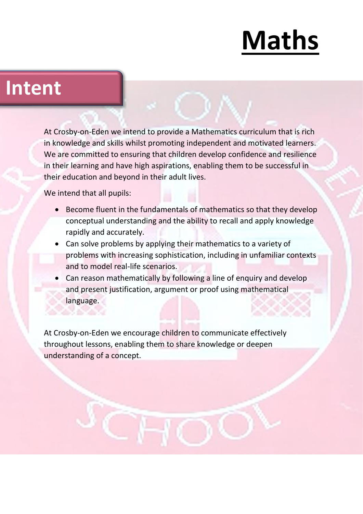#### **Intent**

At Crosby-on-Eden we intend to provide a Mathematics curriculum that is rich in knowledge and skills whilst promoting independent and motivated learners. We are committed to ensuring that children develop confidence and resilience in their learning and have high aspirations, enabling them to be successful in their education and beyond in their adult lives.

We intend that all pupils:

- Become fluent in the fundamentals of mathematics so that they develop conceptual understanding and the ability to recall and apply knowledge rapidly and accurately.
- Can solve problems by applying their mathematics to a variety of problems with increasing sophistication, including in unfamiliar contexts and to model real-life scenarios.
- Can reason mathematically by following a line of enquiry and develop and present justification, argument or proof using mathematical language.

At Crosby-on-Eden we encourage children to communicate effectively throughout lessons, enabling them to share knowledge or deepen understanding of a concept.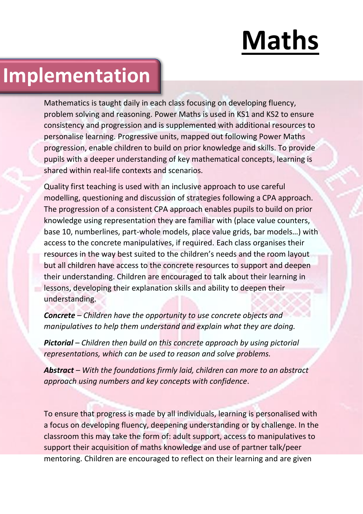### **Implementation**

Mathematics is taught daily in each class focusing on developing fluency, problem solving and reasoning. Power Maths is used in KS1 and KS2 to ensure consistency and progression and is supplemented with additional resources to personalise learning. Progressive units, mapped out following Power Maths progression, enable children to build on prior knowledge and skills. To provide pupils with a deeper understanding of key mathematical concepts, learning is shared within real-life contexts and scenarios.

Quality first teaching is used with an inclusive approach to use careful modelling, questioning and discussion of strategies following a CPA approach. The progression of a consistent CPA approach enables pupils to build on prior knowledge using representation they are familiar with (place value counters, base 10, numberlines, part-whole models, place value grids, bar models…) with access to the concrete manipulatives, if required. Each class organises their resources in the way best suited to the children's needs and the room layout but all children have access to the concrete resources to support and deepen their understanding. Children are encouraged to talk about their learning in lessons, developing their explanation skills and ability to deepen their understanding.

*Concrete – Children have the opportunity to use concrete objects and manipulatives to help them understand and explain what they are doing.*

*Pictorial – Children then build on this concrete approach by using pictorial representations, which can be used to reason and solve problems.*

*Abstract – With the foundations firmly laid, children can more to an abstract approach using numbers and key concepts with confidence*.

To ensure that progress is made by all individuals, learning is personalised with a focus on developing fluency, deepening understanding or by challenge. In the classroom this may take the form of: adult support, access to manipulatives to support their acquisition of maths knowledge and use of partner talk/peer mentoring. Children are encouraged to reflect on their learning and are given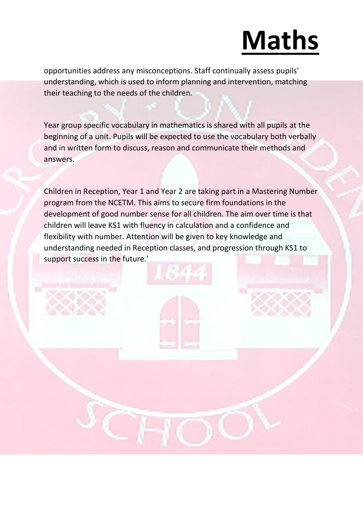opportunities address any misconceptions. Staff continually assess pupils' understanding, which is used to inform planning and intervention, matching their teaching to the needs of the children.

Year group specific vocabulary in mathematics is shared with all pupils at the beginning of a unit. Pupils will be expected to use the vocabulary both verbally and in written form to discuss, reason and communicate their methods and answers.

Children in Reception, Year 1 and Year 2 are taking part in a Mastering Number program from the NCETM. This aims to secure firm foundations in the development of good number sense for all children. The aim over time is that children will leave KS1 with fluency in calculation and a confidence and flexibility with number. Attention will be given to key knowledge and understanding needed in Reception classes, and progression through KS1 to support success in the future.'